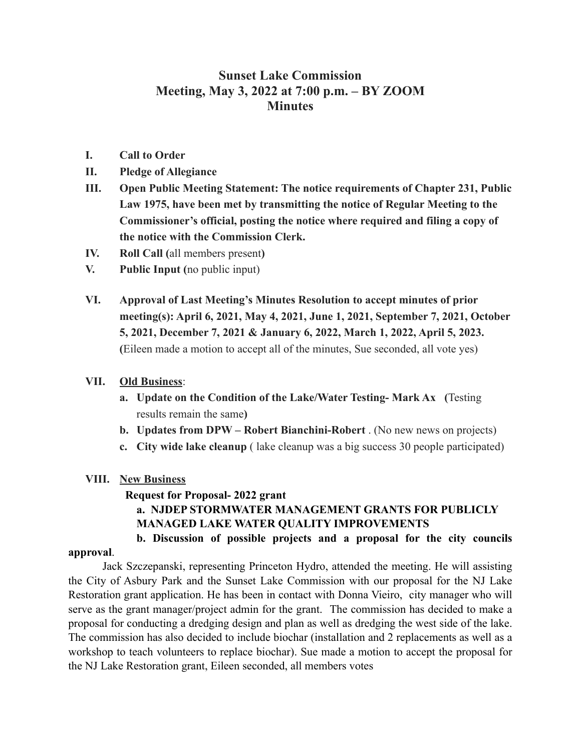## **Sunset Lake Commission Meeting, May 3, 2022 at 7:00 p.m. – BY ZOOM Minutes**

- **I. Call to Order**
- **II. Pledge of Allegiance**
- **III. Open Public Meeting Statement: The notice requirements of Chapter 231, Public Law 1975, have been met by transmitting the notice of Regular Meeting to the Commissioner's official, posting the notice where required and filing a copy of the notice with the Commission Clerk.**
- **IV. Roll Call (**all members present**)**
- **V. Public Input (**no public input)
- **VI. Approval of Last Meeting's Minutes Resolution to accept minutes of prior meeting(s): April 6, 2021, May 4, 2021, June 1, 2021, September 7, 2021, October 5, 2021, December 7, 2021 & January 6, 2022, March 1, 2022, April 5, 2023. (**Eileen made a motion to accept all of the minutes, Sue seconded, all vote yes)

### **VII. Old Business**:

- **a. Update on the Condition of the Lake/Water Testing- Mark Ax (**Testing results remain the same**)**
- **b. Updates from DPW Robert Bianchini-Robert** . (No new news on projects)
- **c. City wide lake cleanup** ( lake cleanup was a big success 30 people participated)

### **VIII. New Business**

### **Request for Proposal- 2022 grant**

## **a. NJDEP STORMWATER MANAGEMENT GRANTS FOR PUBLICLY MANAGED LAKE WATER QUALITY IMPROVEMENTS**

# **b. Discussion of possible projects and a proposal for the city councils**

#### **approval**.

Jack Szczepanski, representing Princeton Hydro, attended the meeting. He will assisting the City of Asbury Park and the Sunset Lake Commission with our proposal for the NJ Lake Restoration grant application. He has been in contact with Donna Vieiro, city manager who will serve as the grant manager/project admin for the grant. The commission has decided to make a proposal for conducting a dredging design and plan as well as dredging the west side of the lake. The commission has also decided to include biochar (installation and 2 replacements as well as a workshop to teach volunteers to replace biochar). Sue made a motion to accept the proposal for the NJ Lake Restoration grant, Eileen seconded, all members votes